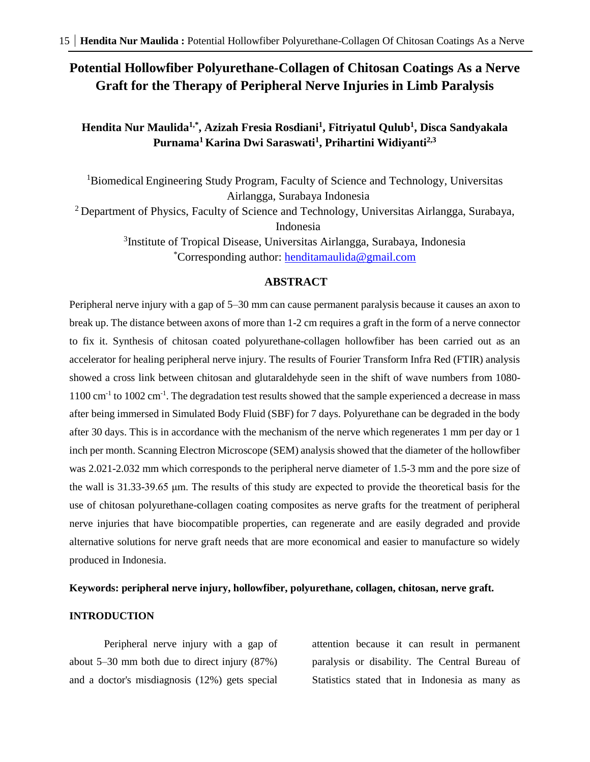# **Potential Hollowfiber Polyurethane-Collagen of Chitosan Coatings As a Nerve Graft for the Therapy of Peripheral Nerve Injuries in Limb Paralysis**

## **Hendita Nur Maulida1,\*, Azizah Fresia Rosdiani<sup>1</sup> , Fitriyatul Qulub<sup>1</sup> , Disca Sandyakala Purnama<sup>1</sup>Karina Dwi Saraswati<sup>1</sup> , Prihartini Widiyanti2,3**

<sup>1</sup>Biomedical Engineering Study Program, Faculty of Science and Technology, Universitas Airlangga, Surabaya Indonesia

<sup>2</sup> Department of Physics, Faculty of Science and Technology, Universitas Airlangga, Surabaya, Indonesia

> 3 Institute of Tropical Disease, Universitas Airlangga, Surabaya, Indonesia \*Corresponding author: [henditamaulida@gmail.com](mailto:henditamaulida@gmail.com)

### **ABSTRACT**

Peripheral nerve injury with a gap of 5–30 mm can cause permanent paralysis because it causes an axon to break up. The distance between axons of more than 1-2 cm requires a graft in the form of a nerve connector to fix it. Synthesis of chitosan coated polyurethane-collagen hollowfiber has been carried out as an accelerator for healing peripheral nerve injury. The results of Fourier Transform Infra Red (FTIR) analysis showed a cross link between chitosan and glutaraldehyde seen in the shift of wave numbers from 1080- 1100 cm<sup>-1</sup> to 1002 cm<sup>-1</sup>. The degradation test results showed that the sample experienced a decrease in mass after being immersed in Simulated Body Fluid (SBF) for 7 days. Polyurethane can be degraded in the body after 30 days. This is in accordance with the mechanism of the nerve which regenerates 1 mm per day or 1 inch per month. Scanning Electron Microscope (SEM) analysis showed that the diameter of the hollowfiber was 2.021-2.032 mm which corresponds to the peripheral nerve diameter of 1.5-3 mm and the pore size of the wall is 31.33-39.65 μm. The results of this study are expected to provide the theoretical basis for the use of chitosan polyurethane-collagen coating composites as nerve grafts for the treatment of peripheral nerve injuries that have biocompatible properties, can regenerate and are easily degraded and provide alternative solutions for nerve graft needs that are more economical and easier to manufacture so widely produced in Indonesia.

#### **Keywords: peripheral nerve injury, hollowfiber, polyurethane, collagen, chitosan, nerve graft.**

#### **INTRODUCTION**

Peripheral nerve injury with a gap of about 5–30 mm both due to direct injury (87%) and a doctor's misdiagnosis (12%) gets special attention because it can result in permanent paralysis or disability. The Central Bureau of Statistics stated that in Indonesia as many as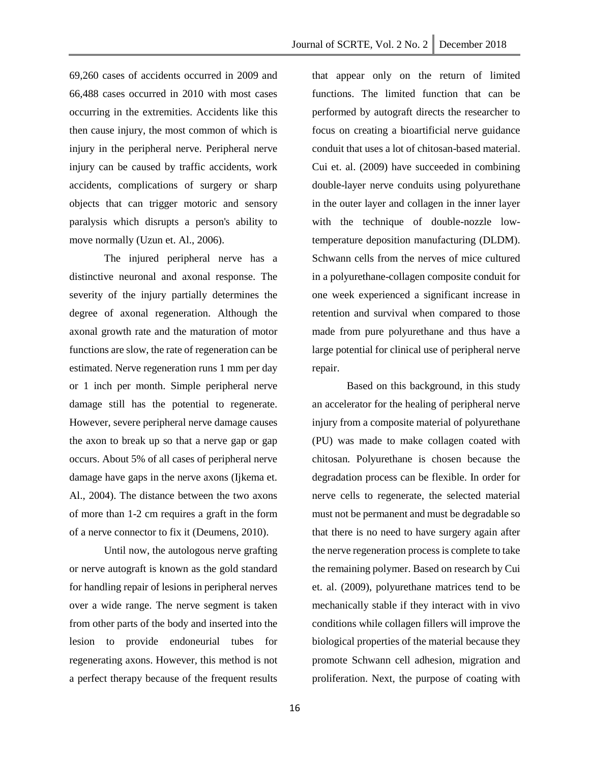69,260 cases of accidents occurred in 2009 and 66,488 cases occurred in 2010 with most cases occurring in the extremities. Accidents like this then cause injury, the most common of which is injury in the peripheral nerve. Peripheral nerve injury can be caused by traffic accidents, work accidents, complications of surgery or sharp objects that can trigger motoric and sensory paralysis which disrupts a person's ability to move normally (Uzun et. Al., 2006).

The injured peripheral nerve has a distinctive neuronal and axonal response. The severity of the injury partially determines the degree of axonal regeneration. Although the axonal growth rate and the maturation of motor functions are slow, the rate of regeneration can be estimated. Nerve regeneration runs 1 mm per day or 1 inch per month. Simple peripheral nerve damage still has the potential to regenerate. However, severe peripheral nerve damage causes the axon to break up so that a nerve gap or gap occurs. About 5% of all cases of peripheral nerve damage have gaps in the nerve axons (Ijkema et. Al., 2004). The distance between the two axons of more than 1-2 cm requires a graft in the form of a nerve connector to fix it (Deumens, 2010).

Until now, the autologous nerve grafting or nerve autograft is known as the gold standard for handling repair of lesions in peripheral nerves over a wide range. The nerve segment is taken from other parts of the body and inserted into the lesion to provide endoneurial tubes for regenerating axons. However, this method is not a perfect therapy because of the frequent results

that appear only on the return of limited functions. The limited function that can be performed by autograft directs the researcher to focus on creating a bioartificial nerve guidance conduit that uses a lot of chitosan-based material. Cui et. al. (2009) have succeeded in combining double-layer nerve conduits using polyurethane in the outer layer and collagen in the inner layer with the technique of double-nozzle lowtemperature deposition manufacturing (DLDM). Schwann cells from the nerves of mice cultured in a polyurethane-collagen composite conduit for one week experienced a significant increase in retention and survival when compared to those made from pure polyurethane and thus have a large potential for clinical use of peripheral nerve repair.

Based on this background, in this study an accelerator for the healing of peripheral nerve injury from a composite material of polyurethane (PU) was made to make collagen coated with chitosan. Polyurethane is chosen because the degradation process can be flexible. In order for nerve cells to regenerate, the selected material must not be permanent and must be degradable so that there is no need to have surgery again after the nerve regeneration process is complete to take the remaining polymer. Based on research by Cui et. al. (2009), polyurethane matrices tend to be mechanically stable if they interact with in vivo conditions while collagen fillers will improve the biological properties of the material because they promote Schwann cell adhesion, migration and proliferation. Next, the purpose of coating with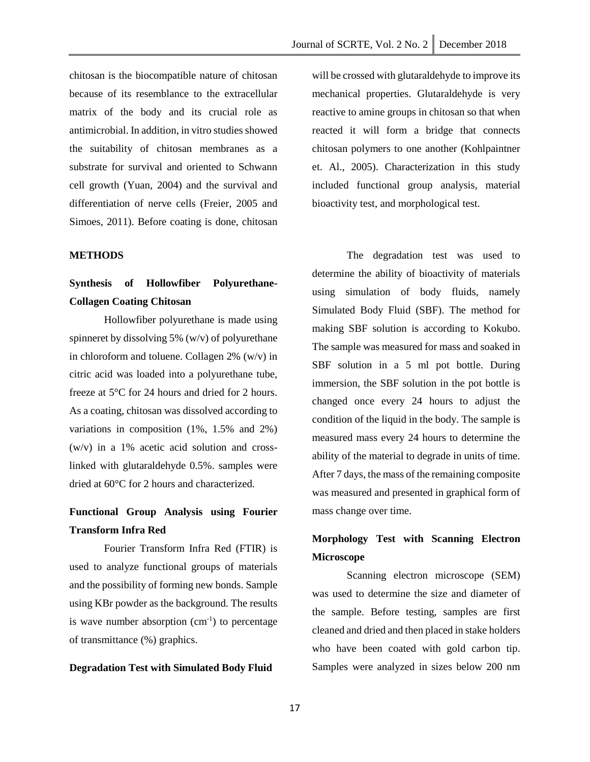chitosan is the biocompatible nature of chitosan because of its resemblance to the extracellular matrix of the body and its crucial role as antimicrobial. In addition, in vitro studies showed the suitability of chitosan membranes as a substrate for survival and oriented to Schwann cell growth (Yuan, 2004) and the survival and differentiation of nerve cells (Freier, 2005 and Simoes, 2011). Before coating is done, chitosan

#### **METHODS**

# **Synthesis of Hollowfiber Polyurethane-Collagen Coating Chitosan**

Hollowfiber polyurethane is made using spinneret by dissolving 5% (w/v) of polyurethane in chloroform and toluene. Collagen 2% (w/v) in citric acid was loaded into a polyurethane tube, freeze at 5°C for 24 hours and dried for 2 hours. As a coating, chitosan was dissolved according to variations in composition (1%, 1.5% and 2%) (w/v) in a 1% acetic acid solution and crosslinked with glutaraldehyde 0.5%. samples were dried at 60°C for 2 hours and characterized.

## **Functional Group Analysis using Fourier Transform Infra Red**

Fourier Transform Infra Red (FTIR) is used to analyze functional groups of materials and the possibility of forming new bonds. Sample using KBr powder as the background. The results is wave number absorption  $(cm<sup>-1</sup>)$  to percentage of transmittance (%) graphics.

#### **Degradation Test with Simulated Body Fluid**

will be crossed with glutaraldehyde to improve its mechanical properties. Glutaraldehyde is very reactive to amine groups in chitosan so that when reacted it will form a bridge that connects chitosan polymers to one another (Kohlpaintner et. Al., 2005). Characterization in this study included functional group analysis, material bioactivity test, and morphological test.

The degradation test was used to determine the ability of bioactivity of materials using simulation of body fluids, namely Simulated Body Fluid (SBF). The method for making SBF solution is according to Kokubo. The sample was measured for mass and soaked in SBF solution in a 5 ml pot bottle. During immersion, the SBF solution in the pot bottle is changed once every 24 hours to adjust the condition of the liquid in the body. The sample is measured mass every 24 hours to determine the ability of the material to degrade in units of time. After 7 days, the mass of the remaining composite was measured and presented in graphical form of mass change over time.

# **Morphology Test with Scanning Electron Microscope**

Scanning electron microscope (SEM) was used to determine the size and diameter of the sample. Before testing, samples are first cleaned and dried and then placed in stake holders who have been coated with gold carbon tip. Samples were analyzed in sizes below 200 nm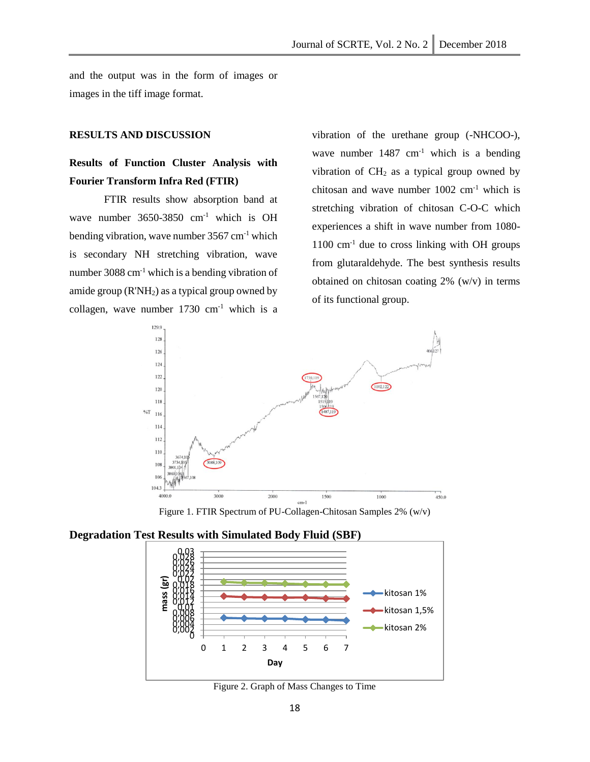and the output was in the form of images or images in the tiff image format.

#### **RESULTS AND DISCUSSION**

## **Results of Function Cluster Analysis with Fourier Transform Infra Red (FTIR)**

FTIR results show absorption band at wave number 3650-3850 cm<sup>-1</sup> which is OH bending vibration, wave number 3567 cm-1 which is secondary NH stretching vibration, wave number 3088 cm $^{-1}$  which is a bending vibration of amide group  $(R'NH<sub>2</sub>)$  as a typical group owned by collagen, wave number  $1730 \text{ cm}^{-1}$  which is a vibration of the urethane group (-NHCOO-), wave number  $1487 \text{ cm}^{-1}$  which is a bending vibration of  $CH<sub>2</sub>$  as a typical group owned by chitosan and wave number  $1002 \text{ cm}^{-1}$  which is stretching vibration of chitosan C-O-C which experiences a shift in wave number from 1080-  $1100 \text{ cm}^{-1}$  due to cross linking with OH groups from glutaraldehyde. The best synthesis results obtained on chitosan coating 2% (w/v) in terms of its functional group.



Figure 1. FTIR Spectrum of PU-Collagen-Chitosan Samples 2% (w/v)

### **Degradation Test Results with Simulated Body Fluid (SBF)**



Figure 2. Graph of Mass Changes to Time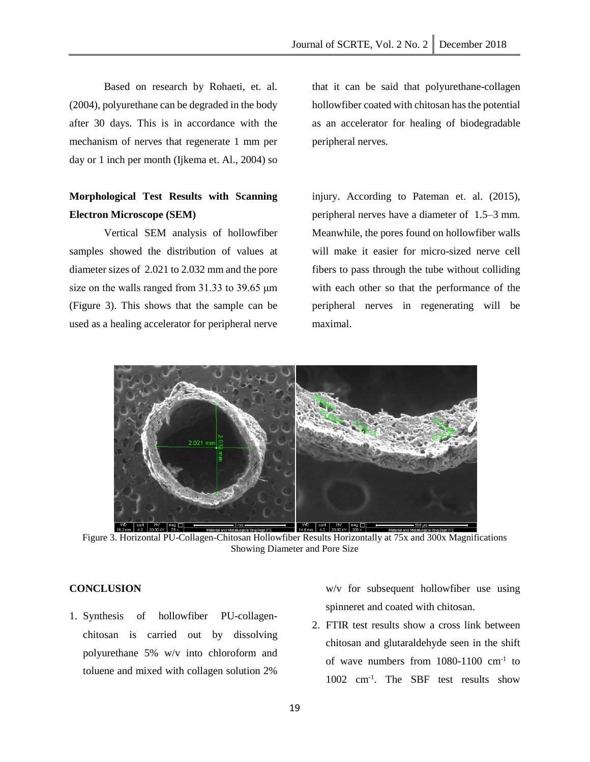Based on research by Rohaeti, et. al. (2004), polyurethane can be degraded in the body after 30 days. This is in accordance with the mechanism of nerves that regenerate 1 mm per day or 1 inch per month (Ijkema et. Al., 2004) so

# **Morphological Test Results with Scanning Electron Microscope (SEM)**

Vertical SEM analysis of hollowfiber samples showed the distribution of values at diameter sizes of 2.021 to 2.032 mm and the pore size on the walls ranged from 31.33 to 39.65 μm (Figure 3). This shows that the sample can be used as a healing accelerator for peripheral nerve

that it can be said that polyurethane-collagen hollowfiber coated with chitosan has the potential as an accelerator for healing of biodegradable peripheral nerves.

injury. According to Pateman et. al. (2015), peripheral nerves have a diameter of 1.5–3 mm. Meanwhile, the pores found on hollowfiber walls will make it easier for micro-sized nerve cell fibers to pass through the tube without colliding with each other so that the performance of the peripheral nerves in regenerating will be maximal.



Figure 3. Horizontal PU-Collagen-Chitosan Hollowfiber Results Horizontally at 75x and 300x Magnifications Showing Diameter and Pore Size

### **CONCLUSION**

1. Synthesis of hollowfiber PU-collagenchitosan is carried out by dissolving polyurethane 5% w/v into chloroform and toluene and mixed with collagen solution 2%

w/v for subsequent hollowfiber use using spinneret and coated with chitosan.

2. FTIR test results show a cross link between chitosan and glutaraldehyde seen in the shift of wave numbers from  $1080-1100$  cm<sup>-1</sup> to 1002 cm-1 . The SBF test results show